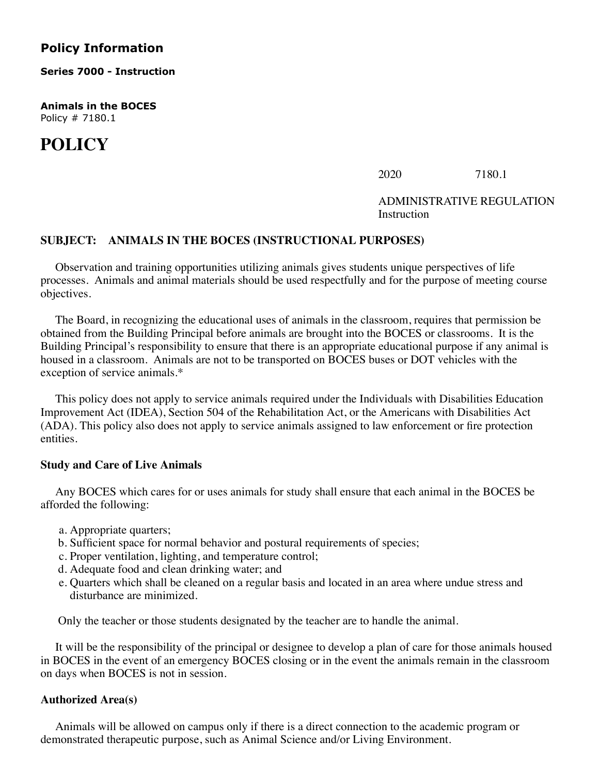# **Policy Information**

**Series 7000 - Instruction**

**Animals in the BOCES** Policy # 7180.1

# **POLICY**

 $2020$   $7180.1$ 

# ADMINISTRATIVE REGULATION Instruction

# **SUBJECT: ANIMALS IN THE BOCES (INSTRUCTIONAL PURPOSES)**

 Observation and training opportunities utilizing animals gives students unique perspectives of life processes. Animals and animal materials should be used respectfully and for the purpose of meeting course objectives.

 The Board, in recognizing the educational uses of animals in the classroom, requires that permission be obtained from the Building Principal before animals are brought into the BOCES or classrooms. It is the Building Principal's responsibility to ensure that there is an appropriate educational purpose if any animal is housed in a classroom. Animals are not to be transported on BOCES buses or DOT vehicles with the exception of service animals.\*

 This policy does not apply to service animals required under the Individuals with Disabilities Education Improvement Act (IDEA), Section 504 of the Rehabilitation Act, or the Americans with Disabilities Act (ADA). This policy also does not apply to service animals assigned to law enforcement or fire protection entities.

# **Study and Care of Live Animals**

 Any BOCES which cares for or uses animals for study shall ensure that each animal in the BOCES be afforded the following:

- a. Appropriate quarters;
- b. Sufficient space for normal behavior and postural requirements of species;
- c. Proper ventilation, lighting, and temperature control;
- d. Adequate food and clean drinking water; and
- e. Quarters which shall be cleaned on a regular basis and located in an area where undue stress and disturbance are minimized.

Only the teacher or those students designated by the teacher are to handle the animal.

 It will be the responsibility of the principal or designee to develop a plan of care for those animals housed in BOCES in the event of an emergency BOCES closing or in the event the animals remain in the classroom on days when BOCES is not in session.

# **Authorized Area(s)**

 Animals will be allowed on campus only if there is a direct connection to the academic program or demonstrated therapeutic purpose, such as Animal Science and/or Living Environment.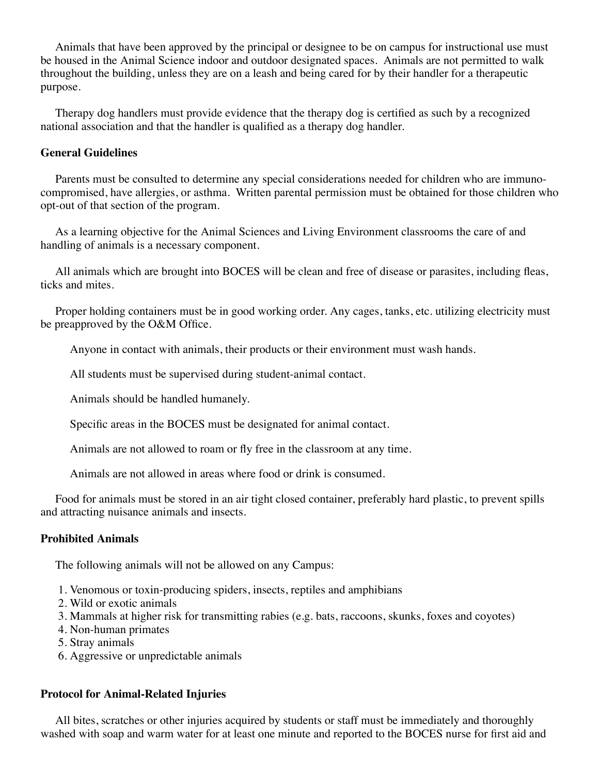Animals that have been approved by the principal or designee to be on campus for instructional use must be housed in the Animal Science indoor and outdoor designated spaces. Animals are not permitted to walk throughout the building, unless they are on a leash and being cared for by their handler for a therapeutic purpose.

 Therapy dog handlers must provide evidence that the therapy dog is certified as such by a recognized national association and that the handler is qualified as a therapy dog handler.

# **General Guidelines**

 Parents must be consulted to determine any special considerations needed for children who are immunocompromised, have allergies, or asthma. Written parental permission must be obtained for those children who opt-out of that section of the program.

 As a learning objective for the Animal Sciences and Living Environment classrooms the care of and handling of animals is a necessary component.

 All animals which are brought into BOCES will be clean and free of disease or parasites, including fleas, ticks and mites.

 Proper holding containers must be in good working order. Any cages, tanks, etc. utilizing electricity must be preapproved by the O&M Office.

Anyone in contact with animals, their products or their environment must wash hands.

All students must be supervised during student-animal contact.

Animals should be handled humanely.

Specific areas in the BOCES must be designated for animal contact.

Animals are not allowed to roam or fly free in the classroom at any time.

Animals are not allowed in areas where food or drink is consumed.

 Food for animals must be stored in an air tight closed container, preferably hard plastic, to prevent spills and attracting nuisance animals and insects.

#### **Prohibited Animals**

The following animals will not be allowed on any Campus:

- 1. Venomous or toxin-producing spiders, insects, reptiles and amphibians
- 2. Wild or exotic animals
- 3. Mammals at higher risk for transmitting rabies (e.g. bats, raccoons, skunks, foxes and coyotes)
- 4. Non-human primates
- 5. Stray animals
- 6. Aggressive or unpredictable animals

# **Protocol for Animal-Related Injuries**

 All bites, scratches or other injuries acquired by students or staff must be immediately and thoroughly washed with soap and warm water for at least one minute and reported to the BOCES nurse for first aid and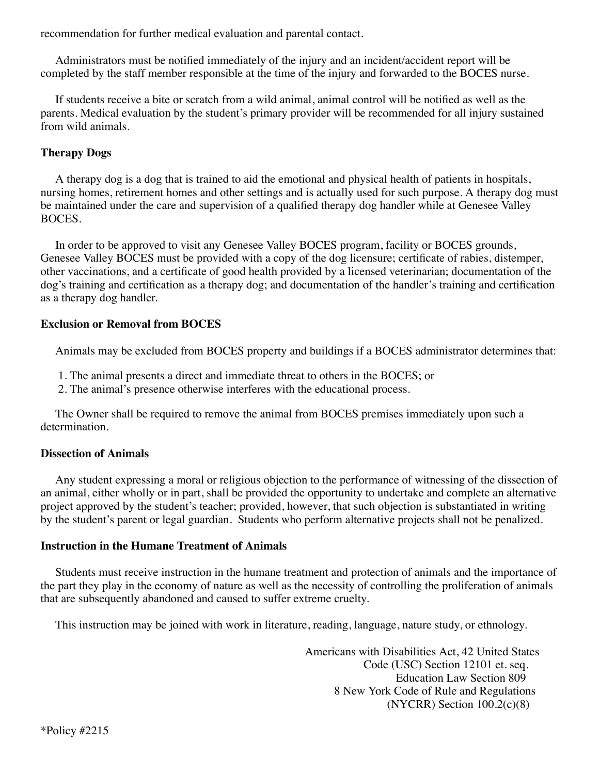recommendation for further medical evaluation and parental contact.

 Administrators must be notified immediately of the injury and an incident/accident report will be completed by the staff member responsible at the time of the injury and forwarded to the BOCES nurse.

 If students receive a bite or scratch from a wild animal, animal control will be notified as well as the parents. Medical evaluation by the student's primary provider will be recommended for all injury sustained from wild animals.

# **Therapy Dogs**

 A therapy dog is a dog that is trained to aid the emotional and physical health of patients in hospitals, nursing homes, retirement homes and other settings and is actually used for such purpose. A therapy dog must be maintained under the care and supervision of a qualified therapy dog handler while at Genesee Valley BOCES.

 In order to be approved to visit any Genesee Valley BOCES program, facility or BOCES grounds, Genesee Valley BOCES must be provided with a copy of the dog licensure; certificate of rabies, distemper, other vaccinations, and a certificate of good health provided by a licensed veterinarian; documentation of the dog's training and certification as a therapy dog; and documentation of the handler's training and certification as a therapy dog handler.

# **Exclusion or Removal from BOCES**

Animals may be excluded from BOCES property and buildings if a BOCES administrator determines that:

- 1. The animal presents a direct and immediate threat to others in the BOCES; or
- 2. The animal's presence otherwise interferes with the educational process.

 The Owner shall be required to remove the animal from BOCES premises immediately upon such a determination.

# **Dissection of Animals**

 Any student expressing a moral or religious objection to the performance of witnessing of the dissection of an animal, either wholly or in part, shall be provided the opportunity to undertake and complete an alternative project approved by the student's teacher; provided, however, that such objection is substantiated in writing by the student's parent or legal guardian. Students who perform alternative projects shall not be penalized.

#### **Instruction in the Humane Treatment of Animals**

 Students must receive instruction in the humane treatment and protection of animals and the importance of the part they play in the economy of nature as well as the necessity of controlling the proliferation of animals that are subsequently abandoned and caused to suffer extreme cruelty.

This instruction may be joined with work in literature, reading, language, nature study, or ethnology.

 Americans with Disabilities Act, 42 United States Code (USC) Section 12101 et. seq. Education Law Section 809 8 New York Code of Rule and Regulations (NYCRR) Section 100.2(c)(8)